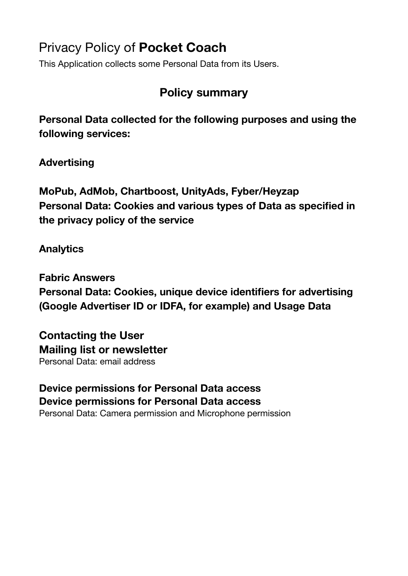# Privacy Policy of **Pocket Coach**

This Application collects some Personal Data from its Users.

# **Policy summary**

**Personal Data collected for the following purposes and using the following services:** 

**Advertising** 

**MoPub, AdMob, Chartboost, UnityAds, Fyber/Heyzap Personal Data: Cookies and various types of Data as specified in the privacy policy of the service**

# **Analytics**

**Fabric Answers Personal Data: Cookies, unique device identifiers for advertising (Google Advertiser ID or IDFA, for example) and Usage Data**

**Contacting the User Mailing list or newsletter** Personal Data: email address

**Device permissions for Personal Data access Device permissions for Personal Data access** Personal Data: Camera permission and Microphone permission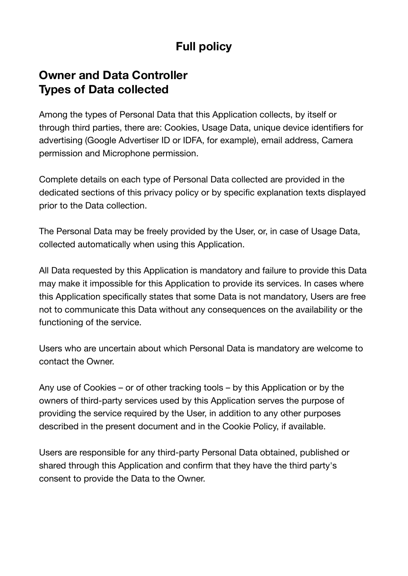# **Full policy**

# **Owner and Data Controller Types of Data collected**

Among the types of Personal Data that this Application collects, by itself or through third parties, there are: Cookies, Usage Data, unique device identifiers for advertising (Google Advertiser ID or IDFA, for example), email address, Camera permission and Microphone permission.

Complete details on each type of Personal Data collected are provided in the dedicated sections of this privacy policy or by specific explanation texts displayed prior to the Data collection.

The Personal Data may be freely provided by the User, or, in case of Usage Data, collected automatically when using this Application.

All Data requested by this Application is mandatory and failure to provide this Data may make it impossible for this Application to provide its services. In cases where this Application specifically states that some Data is not mandatory, Users are free not to communicate this Data without any consequences on the availability or the functioning of the service.

Users who are uncertain about which Personal Data is mandatory are welcome to contact the Owner.

Any use of Cookies – or of other tracking tools – by this Application or by the owners of third-party services used by this Application serves the purpose of providing the service required by the User, in addition to any other purposes described in the present document and in the Cookie Policy, if available.

Users are responsible for any third-party Personal Data obtained, published or shared through this Application and confirm that they have the third party's consent to provide the Data to the Owner.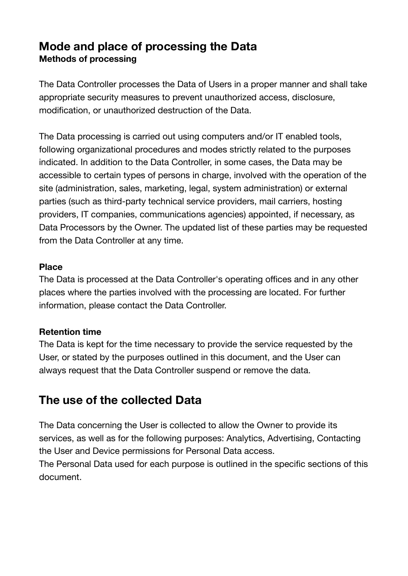# **Mode and place of processing the Data Methods of processing**

The Data Controller processes the Data of Users in a proper manner and shall take appropriate security measures to prevent unauthorized access, disclosure, modification, or unauthorized destruction of the Data.

The Data processing is carried out using computers and/or IT enabled tools, following organizational procedures and modes strictly related to the purposes indicated. In addition to the Data Controller, in some cases, the Data may be accessible to certain types of persons in charge, involved with the operation of the site (administration, sales, marketing, legal, system administration) or external parties (such as third-party technical service providers, mail carriers, hosting providers, IT companies, communications agencies) appointed, if necessary, as Data Processors by the Owner. The updated list of these parties may be requested from the Data Controller at any time.

#### **Place**

The Data is processed at the Data Controller's operating offices and in any other places where the parties involved with the processing are located. For further information, please contact the Data Controller.

#### **Retention time**

The Data is kept for the time necessary to provide the service requested by the User, or stated by the purposes outlined in this document, and the User can always request that the Data Controller suspend or remove the data.

# **The use of the collected Data**

The Data concerning the User is collected to allow the Owner to provide its services, as well as for the following purposes: Analytics, Advertising, Contacting the User and Device permissions for Personal Data access.

The Personal Data used for each purpose is outlined in the specific sections of this document.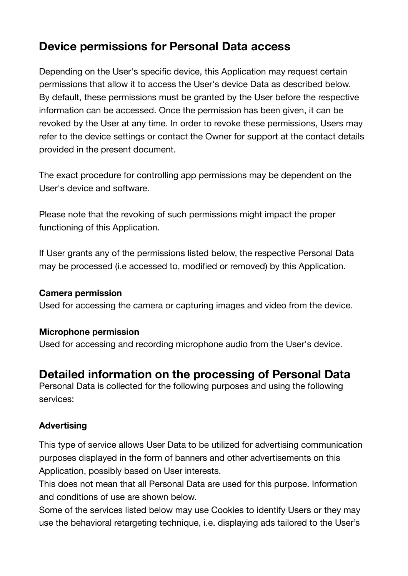# **Device permissions for Personal Data access**

Depending on the User's specific device, this Application may request certain permissions that allow it to access the User's device Data as described below. By default, these permissions must be granted by the User before the respective information can be accessed. Once the permission has been given, it can be revoked by the User at any time. In order to revoke these permissions, Users may refer to the device settings or contact the Owner for support at the contact details provided in the present document.

The exact procedure for controlling app permissions may be dependent on the User's device and software.

Please note that the revoking of such permissions might impact the proper functioning of this Application.

If User grants any of the permissions listed below, the respective Personal Data may be processed (i.e accessed to, modified or removed) by this Application.

#### **Camera permission**

Used for accessing the camera or capturing images and video from the device.

### **Microphone permission**

Used for accessing and recording microphone audio from the User's device.

# **Detailed information on the processing of Personal Data**

Personal Data is collected for the following purposes and using the following services:

### **Advertising**

This type of service allows User Data to be utilized for advertising communication purposes displayed in the form of banners and other advertisements on this Application, possibly based on User interests.

This does not mean that all Personal Data are used for this purpose. Information and conditions of use are shown below.

Some of the services listed below may use Cookies to identify Users or they may use the behavioral retargeting technique, i.e. displaying ads tailored to the User's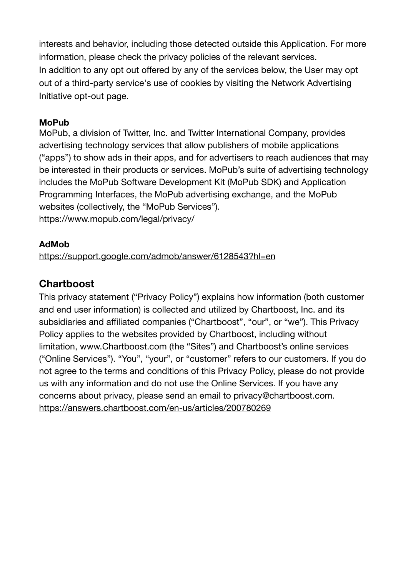interests and behavior, including those detected outside this Application. For more information, please check the privacy policies of the relevant services. In addition to any opt out offered by any of the services below, the User may opt out of a third-party service's use of cookies by visiting the [Network Advertising](http://optout.networkadvertising.org/)  [Initiative opt-out page](http://optout.networkadvertising.org/).

#### **MoPub**

MoPub, a division of Twitter, Inc. and Twitter International Company, provides advertising technology services that allow publishers of mobile applications ("apps") to show ads in their apps, and for advertisers to reach audiences that may be interested in their products or services. MoPub's suite of advertising technology includes the MoPub Software Development Kit (MoPub SDK) and Application Programming Interfaces, the MoPub advertising exchange, and the MoPub websites (collectively, the "MoPub Services"). <https://www.mopub.com/legal/privacy/>

#### **AdMob**

<https://support.google.com/admob/answer/6128543?hl=en>

## **Chartboost**

This privacy statement ("Privacy Policy") explains how information (both customer and end user information) is collected and utilized by Chartboost, Inc. and its subsidiaries and affiliated companies ("Chartboost", "our", or "we"). This Privacy Policy applies to the websites provided by Chartboost, including without limitation, [www.Chartboost.com](https://www.chartboost.com/) (the "Sites") and Chartboost's online services ("Online Services"). "You", "your", or "customer" refers to our customers. If you do not agree to the terms and conditions of this Privacy Policy, please do not provide us with any information and do not use the Online Services. If you have any concerns about privacy, please send an email to [privacy@chartboost.com.](mailto:privacy@chartboost.com) <https://answers.chartboost.com/en-us/articles/200780269>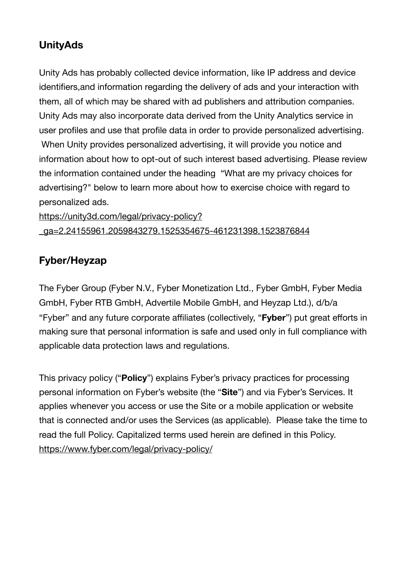# **UnityAds**

Unity Ads has probably collected device information, like IP address and device identifiers,and information regarding the delivery of ads and your interaction with them, all of which may be shared with ad publishers and attribution companies. Unity Ads may also incorporate data derived from the Unity Analytics service in user profiles and use that profile data in order to provide personalized advertising. When Unity provides personalized advertising, it will provide you notice and information about how to opt-out of such interest based advertising. Please review the information contained under the heading "What are my privacy choices for advertising?" below to learn more about how to exercise choice with regard to personalized ads.

[https://unity3d.com/legal/privacy-policy?](https://unity3d.com/legal/privacy-policy?_ga=2.24155961.2059843279.1525354675-461231398.1523876844) [\\_ga=2.24155961.2059843279.1525354675-461231398.1523876844](https://unity3d.com/legal/privacy-policy?_ga=2.24155961.2059843279.1525354675-461231398.1523876844)

# **Fyber/Heyzap**

The Fyber Group (Fyber N.V., Fyber Monetization Ltd., Fyber GmbH, Fyber Media GmbH, Fyber RTB GmbH, Advertile Mobile GmbH, and Heyzap Ltd.), d/b/a "Fyber" and any future corporate affiliates (collectively, "**Fyber**") put great efforts in making sure that personal information is safe and used only in full compliance with applicable data protection laws and regulations.

This privacy policy ("**Policy**") explains Fyber's privacy practices for processing personal information on Fyber's website (the "**Site**") and via Fyber's Services. It applies whenever you access or use the Site or a mobile application or website that is connected and/or uses the Services (as applicable). Please take the time to read the full Policy. Capitalized terms used herein are defined in this Policy. <https://www.fyber.com/legal/privacy-policy/>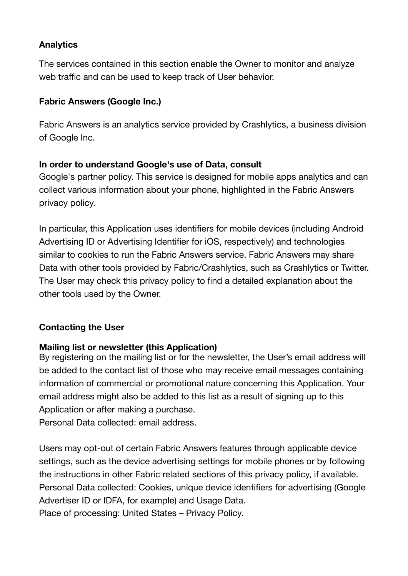## **Analytics**

The services contained in this section enable the Owner to monitor and analyze web traffic and can be used to keep track of User behavior.

## **Fabric Answers (Google Inc.)**

Fabric Answers is an analytics service provided by Crashlytics, a business division of Google Inc.

## **In order to understand Google's use of Data, consult**

[Google's partner policy.](https://www.google.com/policies/privacy/partners/) This service is designed for mobile apps analytics and can collect various information about your phone, highlighted in the Fabric Answers privacy policy.

In particular, this Application uses identifiers for mobile devices (including Android Advertising ID or Advertising Identifier for iOS, respectively) and technologies similar to cookies to run the Fabric Answers service. Fabric Answers may share Data with other tools provided by Fabric/Crashlytics, such as Crashlytics or Twitter. The User may check this privacy policy to find a detailed explanation about the other tools used by the Owner.

### **Contacting the User**

### **Mailing list or newsletter (this Application)**

By registering on the mailing list or for the newsletter, the User's email address will be added to the contact list of those who may receive email messages containing information of commercial or promotional nature concerning this Application. Your email address might also be added to this list as a result of signing up to this Application or after making a purchase.

Personal Data collected: email address.

Users may opt-out of certain Fabric Answers features through applicable device settings, such as the device advertising settings for mobile phones or by following the instructions in other Fabric related sections of this privacy policy, if available. Personal Data collected: Cookies, unique device identifiers for advertising (Google Advertiser ID or IDFA, for example) and Usage Data. Place of processing: United States – [Privacy Policy.](https://answers.io/img/onepager/privacy.pdf)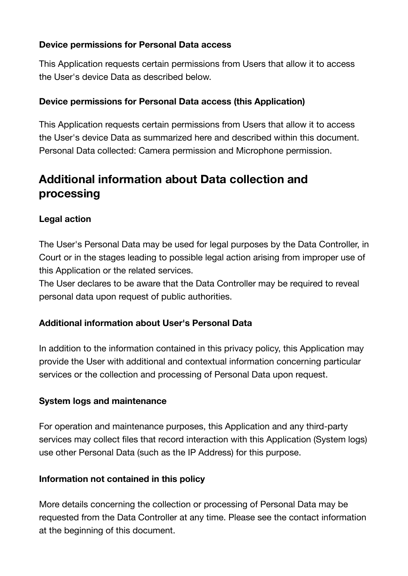### **Device permissions for Personal Data access**

This Application requests certain permissions from Users that allow it to access the User's device Data as described below.

#### **Device permissions for Personal Data access (this Application)**

This Application requests certain permissions from Users that allow it to access the User's device Data as summarized here and described within this document. Personal Data collected: Camera permission and Microphone permission.

# **Additional information about Data collection and processing**

### **Legal action**

The User's Personal Data may be used for legal purposes by the Data Controller, in Court or in the stages leading to possible legal action arising from improper use of this Application or the related services.

The User declares to be aware that the Data Controller may be required to reveal personal data upon request of public authorities.

### **Additional information about User's Personal Data**

In addition to the information contained in this privacy policy, this Application may provide the User with additional and contextual information concerning particular services or the collection and processing of Personal Data upon request.

#### **System logs and maintenance**

For operation and maintenance purposes, this Application and any third-party services may collect files that record interaction with this Application (System logs) use other Personal Data (such as the IP Address) for this purpose.

#### **Information not contained in this policy**

More details concerning the collection or processing of Personal Data may be requested from the Data Controller at any time. Please see the contact information at the beginning of this document.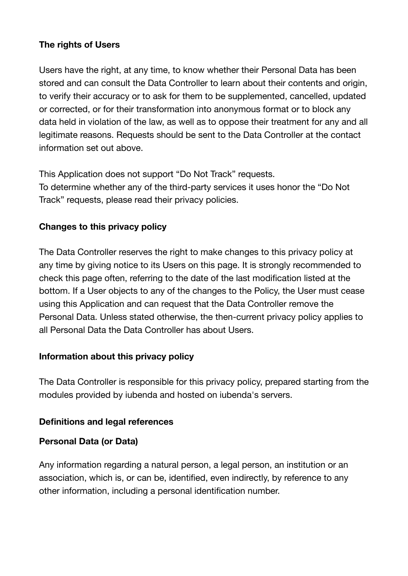### **The rights of Users**

Users have the right, at any time, to know whether their Personal Data has been stored and can consult the Data Controller to learn about their contents and origin, to verify their accuracy or to ask for them to be supplemented, cancelled, updated or corrected, or for their transformation into anonymous format or to block any data held in violation of the law, as well as to oppose their treatment for any and all legitimate reasons. Requests should be sent to the Data Controller at the contact information set out above.

This Application does not support "Do Not Track" requests. To determine whether any of the third-party services it uses honor the "Do Not Track" requests, please read their privacy policies.

### **Changes to this privacy policy**

The Data Controller reserves the right to make changes to this privacy policy at any time by giving notice to its Users on this page. It is strongly recommended to check this page often, referring to the date of the last modification listed at the bottom. If a User objects to any of the changes to the Policy, the User must cease using this Application and can request that the Data Controller remove the Personal Data. Unless stated otherwise, the then-current privacy policy applies to all Personal Data the Data Controller has about Users.

### **Information about this privacy policy**

The Data Controller is responsible for this privacy policy, prepared starting from the modules provided by iubenda and hosted on iubenda's servers.

#### **Definitions and legal references**

#### **Personal Data (or Data)**

Any information regarding a natural person, a legal person, an institution or an association, which is, or can be, identified, even indirectly, by reference to any other information, including a personal identification number.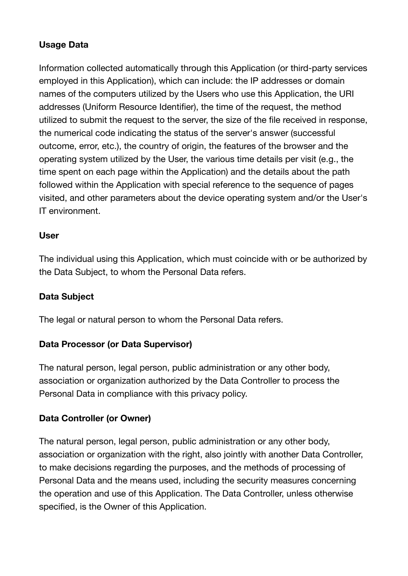## **Usage Data**

Information collected automatically through this Application (or third-party services employed in this Application), which can include: the IP addresses or domain names of the computers utilized by the Users who use this Application, the URI addresses (Uniform Resource Identifier), the time of the request, the method utilized to submit the request to the server, the size of the file received in response, the numerical code indicating the status of the server's answer (successful outcome, error, etc.), the country of origin, the features of the browser and the operating system utilized by the User, the various time details per visit (e.g., the time spent on each page within the Application) and the details about the path followed within the Application with special reference to the sequence of pages visited, and other parameters about the device operating system and/or the User's IT environment.

#### **User**

The individual using this Application, which must coincide with or be authorized by the Data Subject, to whom the Personal Data refers.

### **Data Subject**

The legal or natural person to whom the Personal Data refers.

#### **Data Processor (or Data Supervisor)**

The natural person, legal person, public administration or any other body, association or organization authorized by the Data Controller to process the Personal Data in compliance with this privacy policy.

#### **Data Controller (or Owner)**

The natural person, legal person, public administration or any other body, association or organization with the right, also jointly with another Data Controller, to make decisions regarding the purposes, and the methods of processing of Personal Data and the means used, including the security measures concerning the operation and use of this Application. The Data Controller, unless otherwise specified, is the Owner of this Application.